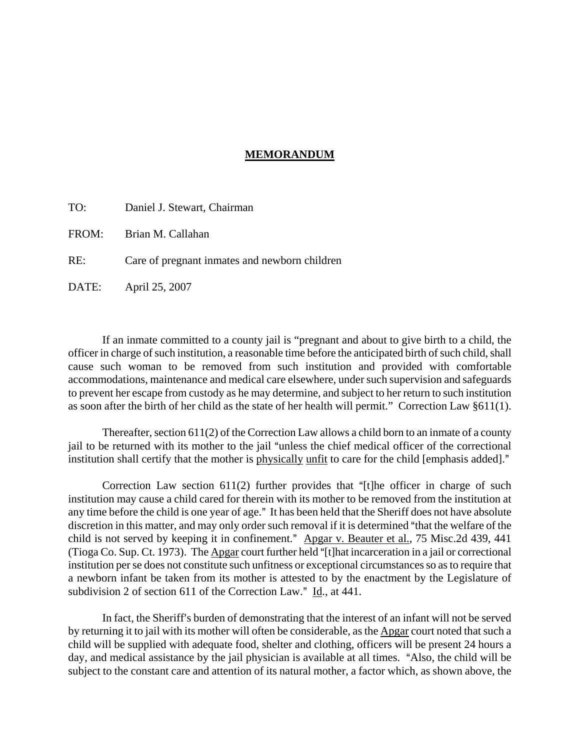## **MEMORANDUM**

| TO: | Daniel J. Stewart, Chairman |  |
|-----|-----------------------------|--|
|-----|-----------------------------|--|

FROM: Brian M. Callahan

RE: Care of pregnant inmates and newborn children

DATE: April 25, 2007

If an inmate committed to a county jail is "pregnant and about to give birth to a child, the officer in charge of such institution, a reasonable time before the anticipated birth of such child, shall cause such woman to be removed from such institution and provided with comfortable accommodations, maintenance and medical care elsewhere, under such supervision and safeguards to prevent her escape from custody as he may determine, and subject to her return to such institution as soon after the birth of her child as the state of her health will permit." Correction Law §611(1).

Thereafter, section 611(2) of the Correction Law allows a child born to an inmate of a county jail to be returned with its mother to the jail "unless the chief medical officer of the correctional institution shall certify that the mother is physically unfit to care for the child [emphasis added]."

Correction Law section  $611(2)$  further provides that "[t]he officer in charge of such institution may cause a child cared for therein with its mother to be removed from the institution at any time before the child is one year of age." It has been held that the Sheriff does not have absolute discretion in this matter, and may only order such removal if it is determined "that the welfare of the child is not served by keeping it in confinement." Apgar v. Beauter et al., 75 Misc.2d 439, 441 (Tioga Co. Sup. Ct. 1973). The Apgar court further held " $[t]$ hat incarceration in a jail or correctional institution per se does not constitute such unfitness or exceptional circumstances so as to require that a newborn infant be taken from its mother is attested to by the enactment by the Legislature of subdivision 2 of section 611 of the Correction Law."  $\underline{Id}$ , at 441.

In fact, the Sheriff's burden of demonstrating that the interest of an infant will not be served by returning it to jail with its mother will often be considerable, as the Apgar court noted that such a child will be supplied with adequate food, shelter and clothing, officers will be present 24 hours a day, and medical assistance by the jail physician is available at all times. "Also, the child will be subject to the constant care and attention of its natural mother, a factor which, as shown above, the